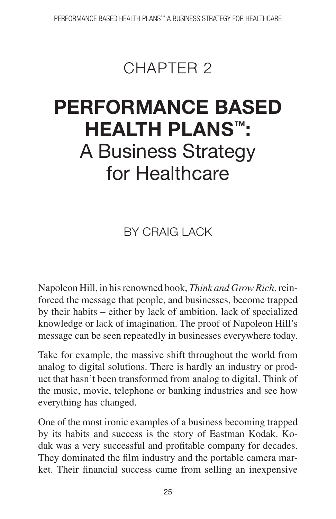## CHAPTER<sub>2</sub>

# **PERFORMANCE BASED HEALTH PLANS™ :** A Business Strategy for Healthcare

**BY CRAIG LACK** 

Napoleon Hill, in his renowned book, *Think and Grow Rich*, reinforced the message that people, and businesses, become trapped by their habits – either by lack of ambition, lack of specialized knowledge or lack of imagination. The proof of Napoleon Hill's message can be seen repeatedly in businesses everywhere today.

Take for example, the massive shift throughout the world from analog to digital solutions. There is hardly an industry or product that hasn't been transformed from analog to digital. Think of the music, movie, telephone or banking industries and see how everything has changed.

One of the most ironic examples of a business becoming trapped by its habits and success is the story of Eastman Kodak. Kodak was a very successful and profitable company for decades. They dominated the film industry and the portable camera market. Their financial success came from selling an inexpensive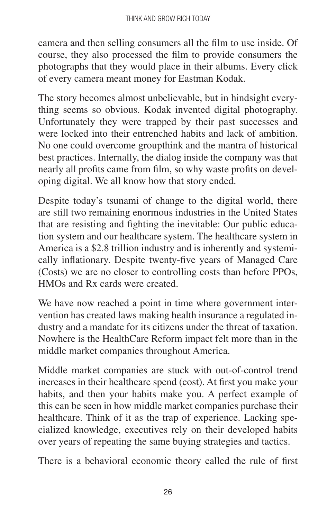camera and then selling consumers all the film to use inside. Of course, they also processed the film to provide consumers the photographs that they would place in their albums. Every click of every camera meant money for Eastman Kodak.

The story becomes almost unbelievable, but in hindsight everything seems so obvious. Kodak invented digital photography. Unfortunately they were trapped by their past successes and were locked into their entrenched habits and lack of ambition. No one could overcome groupthink and the mantra of historical best practices. Internally, the dialog inside the company was that nearly all profits came from film, so why waste profits on developing digital. We all know how that story ended.

Despite today's tsunami of change to the digital world, there are still two remaining enormous industries in the United States that are resisting and fighting the inevitable: Our public education system and our healthcare system. The healthcare system in America is a \$2.8 trillion industry and is inherently and systemically inflationary. Despite twenty-five years of Managed Care (Costs) we are no closer to controlling costs than before PPOs, HMOs and Rx cards were created.

We have now reached a point in time where government intervention has created laws making health insurance a regulated industry and a mandate for its citizens under the threat of taxation. Nowhere is the HealthCare Reform impact felt more than in the middle market companies throughout America.

Middle market companies are stuck with out-of-control trend increases in their healthcare spend (cost). At first you make your habits, and then your habits make you. A perfect example of this can be seen in how middle market companies purchase their healthcare. Think of it as the trap of experience. Lacking specialized knowledge, executives rely on their developed habits over years of repeating the same buying strategies and tactics.

There is a behavioral economic theory called the rule of first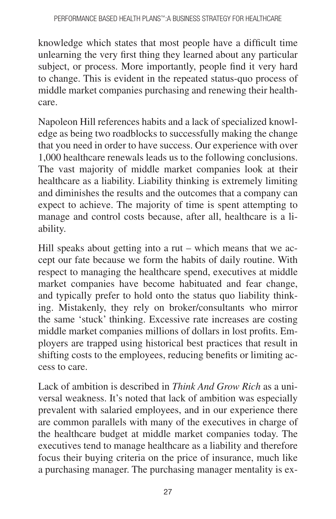knowledge which states that most people have a difficult time unlearning the very first thing they learned about any particular subject, or process. More importantly, people find it very hard to change. This is evident in the repeated status-quo process of middle market companies purchasing and renewing their healthcare.

Napoleon Hill references habits and a lack of specialized knowledge as being two roadblocks to successfully making the change that you need in order to have success. Our experience with over 1,000 healthcare renewals leads us to the following conclusions. The vast majority of middle market companies look at their healthcare as a liability. Liability thinking is extremely limiting and diminishes the results and the outcomes that a company can expect to achieve. The majority of time is spent attempting to manage and control costs because, after all, healthcare is a liability.

Hill speaks about getting into a rut – which means that we accept our fate because we form the habits of daily routine. With respect to managing the healthcare spend, executives at middle market companies have become habituated and fear change, and typically prefer to hold onto the status quo liability thinking. Mistakenly, they rely on broker/consultants who mirror the same 'stuck' thinking. Excessive rate increases are costing middle market companies millions of dollars in lost profits. Employers are trapped using historical best practices that result in shifting costs to the employees, reducing benefits or limiting access to care.

Lack of ambition is described in *Think And Grow Rich* as a universal weakness. It's noted that lack of ambition was especially prevalent with salaried employees, and in our experience there are common parallels with many of the executives in charge of the healthcare budget at middle market companies today. The executives tend to manage healthcare as a liability and therefore focus their buying criteria on the price of insurance, much like a purchasing manager. The purchasing manager mentality is ex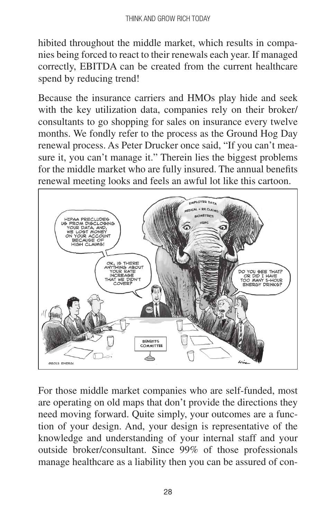hibited throughout the middle market, which results in companies being forced to react to their renewals each year. If managed correctly, EBITDA can be created from the current healthcare spend by reducing trend!

Because the insurance carriers and HMOs play hide and seek with the key utilization data, companies rely on their broker/ consultants to go shopping for sales on insurance every twelve months. We fondly refer to the process as the Ground Hog Day renewal process. As Peter Drucker once said, "If you can't measure it, you can't manage it." Therein lies the biggest problems for the middle market who are fully insured. The annual benefits renewal meeting looks and feels an awful lot like this cartoon.



For those middle market companies who are self-funded, most are operating on old maps that don't provide the directions they need moving forward. Quite simply, your outcomes are a function of your design. And, your design is representative of the knowledge and understanding of your internal staff and your outside broker/consultant. Since 99% of those professionals manage healthcare as a liability then you can be assured of con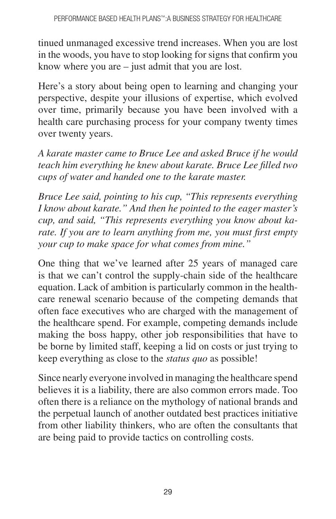tinued unmanaged excessive trend increases. When you are lost in the woods, you have to stop looking for signs that confirm you know where you are – just admit that you are lost.

Here's a story about being open to learning and changing your perspective, despite your illusions of expertise, which evolved over time, primarily because you have been involved with a health care purchasing process for your company twenty times over twenty years.

*A karate master came to Bruce Lee and asked Bruce if he would teach him everything he knew about karate. Bruce Lee filled two cups of water and handed one to the karate master.*

*Bruce Lee said, pointing to his cup, "This represents everything I know about karate." And then he pointed to the eager master's cup, and said, "This represents everything you know about karate. If you are to learn anything from me, you must first empty your cup to make space for what comes from mine."*

One thing that we've learned after 25 years of managed care is that we can't control the supply-chain side of the healthcare equation. Lack of ambition is particularly common in the healthcare renewal scenario because of the competing demands that often face executives who are charged with the management of the healthcare spend. For example, competing demands include making the boss happy, other job responsibilities that have to be borne by limited staff, keeping a lid on costs or just trying to keep everything as close to the *status quo* as possible!

Since nearly everyone involved in managing the healthcare spend believes it is a liability, there are also common errors made. Too often there is a reliance on the mythology of national brands and the perpetual launch of another outdated best practices initiative from other liability thinkers, who are often the consultants that are being paid to provide tactics on controlling costs.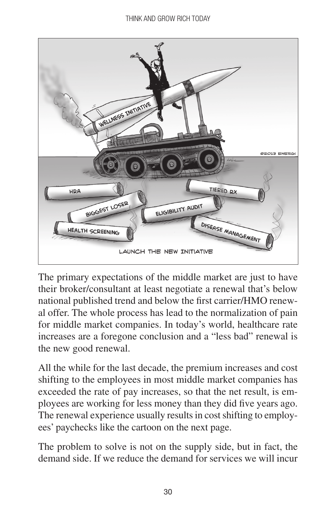

The primary expectations of the middle market are just to have their broker/consultant at least negotiate a renewal that's below national published trend and below the first carrier/HMO renewal offer. The whole process has lead to the normalization of pain for middle market companies. In today's world, healthcare rate increases are a foregone conclusion and a "less bad" renewal is the new good renewal.

All the while for the last decade, the premium increases and cost shifting to the employees in most middle market companies has exceeded the rate of pay increases, so that the net result, is employees are working for less money than they did five years ago. The renewal experience usually results in cost shifting to employees' paychecks like the cartoon on the next page.

The problem to solve is not on the supply side, but in fact, the demand side. If we reduce the demand for services we will incur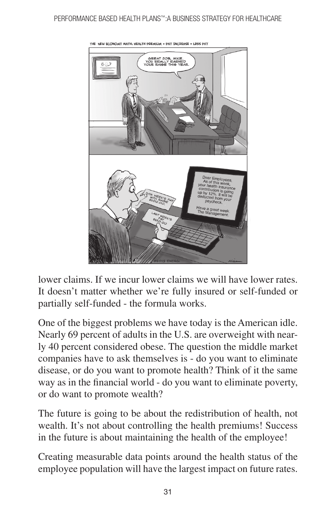#### PERFORMANCE BASED HEALTH PLANS™:A BUSINESS STRATEGY FOR HEALTHCARE



lower claims. If we incur lower claims we will have lower rates. It doesn't matter whether we're fully insured or self-funded or partially self-funded - the formula works.

One of the biggest problems we have today is the American idle. Nearly 69 percent of adults in the U.S. are overweight with nearly 40 percent considered obese. The question the middle market companies have to ask themselves is - do you want to eliminate disease, or do you want to promote health? Think of it the same way as in the financial world - do you want to eliminate poverty, or do want to promote wealth?

The future is going to be about the redistribution of health, not wealth. It's not about controlling the health premiums! Success in the future is about maintaining the health of the employee!

Creating measurable data points around the health status of the employee population will have the largest impact on future rates.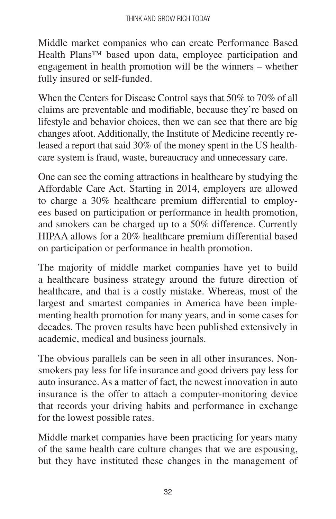Middle market companies who can create Performance Based Health Plans™ based upon data, employee participation and engagement in health promotion will be the winners – whether fully insured or self-funded.

When the Centers for Disease Control says that 50% to 70% of all claims are preventable and modifiable, because they're based on lifestyle and behavior choices, then we can see that there are big changes afoot. Additionally, the Institute of Medicine recently released a report that said 30% of the money spent in the US healthcare system is fraud, waste, bureaucracy and unnecessary care.

One can see the coming attractions in healthcare by studying the Affordable Care Act. Starting in 2014, employers are allowed to charge a 30% healthcare premium differential to employees based on participation or performance in health promotion, and smokers can be charged up to a 50% difference. Currently HIPAA allows for a 20% healthcare premium differential based on participation or performance in health promotion.

The majority of middle market companies have yet to build a healthcare business strategy around the future direction of healthcare, and that is a costly mistake. Whereas, most of the largest and smartest companies in America have been implementing health promotion for many years, and in some cases for decades. The proven results have been published extensively in academic, medical and business journals.

The obvious parallels can be seen in all other insurances. Nonsmokers pay less for life insurance and good drivers pay less for auto insurance. As a matter of fact, the newest innovation in auto insurance is the offer to attach a computer-monitoring device that records your driving habits and performance in exchange for the lowest possible rates.

Middle market companies have been practicing for years many of the same health care culture changes that we are espousing, but they have instituted these changes in the management of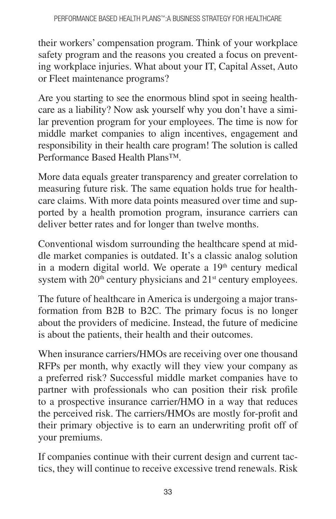their workers' compensation program. Think of your workplace safety program and the reasons you created a focus on preventing workplace injuries. What about your IT, Capital Asset, Auto or Fleet maintenance programs?

Are you starting to see the enormous blind spot in seeing healthcare as a liability? Now ask yourself why you don't have a similar prevention program for your employees. The time is now for middle market companies to align incentives, engagement and responsibility in their health care program! The solution is called Performance Based Health Plans™.

More data equals greater transparency and greater correlation to measuring future risk. The same equation holds true for healthcare claims. With more data points measured over time and supported by a health promotion program, insurance carriers can deliver better rates and for longer than twelve months.

Conventional wisdom surrounding the healthcare spend at middle market companies is outdated. It's a classic analog solution in a modern digital world. We operate a  $19<sup>th</sup>$  century medical system with  $20<sup>th</sup>$  century physicians and  $21<sup>st</sup>$  century employees.

The future of healthcare in America is undergoing a major transformation from B2B to B2C. The primary focus is no longer about the providers of medicine. Instead, the future of medicine is about the patients, their health and their outcomes.

When insurance carriers/HMOs are receiving over one thousand RFPs per month, why exactly will they view your company as a preferred risk? Successful middle market companies have to partner with professionals who can position their risk profile to a prospective insurance carrier/HMO in a way that reduces the perceived risk. The carriers/HMOs are mostly for-profit and their primary objective is to earn an underwriting profit off of your premiums.

If companies continue with their current design and current tactics, they will continue to receive excessive trend renewals. Risk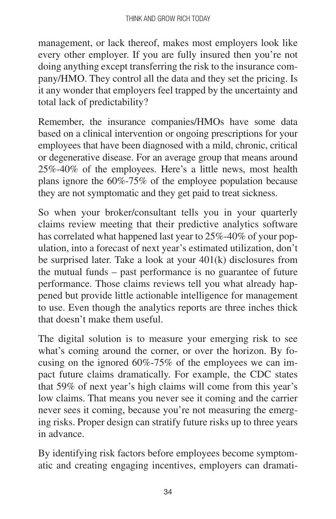management, or lack thereof, makes most employers look like every other employer. If you are fully insured then you're not doing anything except transferring the risk to the insurance company/HMO. They control all the data and they set the pricing. Is it any wonder that employers feel trapped by the uncertainty and total lack of predictability?

Remember, the insurance companies/HMOs have some data based on a clinical intervention or ongoing prescriptions for your employees that have been diagnosed with a mild, chronic, critical or degenerative disease. For an average group that means around 25%-40% of the employees. Here's a little news, most health plans ignore the 60%-75% of the employee population because they are not symptomatic and they get paid to treat sickness.

So when your broker/consultant tells you in your quarterly claims review meeting that their predictive analytics software has correlated what happened last year to 25%-40% of your population, into a forecast of next year's estimated utilization, don't be surprised later. Take a look at your 401(k) disclosures from the mutual funds – past performance is no guarantee of future performance. Those claims reviews tell you what already happened but provide little actionable intelligence for management to use. Even though the analytics reports are three inches thick that doesn't make them useful.

The digital solution is to measure your emerging risk to see what's coming around the corner, or over the horizon. By focusing on the ignored 60%-75% of the employees we can impact future claims dramatically. For example, the CDC states that 59% of next year's high claims will come from this year's low claims. That means you never see it coming and the carrier never sees it coming, because you're not measuring the emerging risks. Proper design can stratify future risks up to three years in advance.

By identifying risk factors before employees become symptomatic and creating engaging incentives, employers can dramati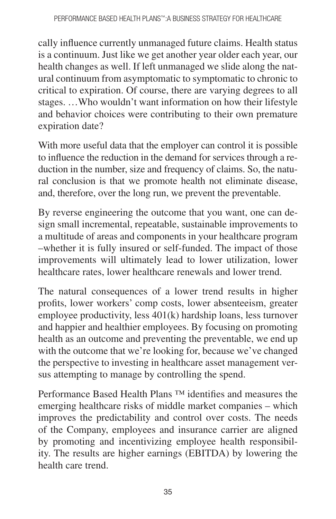cally influence currently unmanaged future claims. Health status is a continuum. Just like we get another year older each year, our health changes as well. If left unmanaged we slide along the natural continuum from asymptomatic to symptomatic to chronic to critical to expiration. Of course, there are varying degrees to all stages. …Who wouldn't want information on how their lifestyle and behavior choices were contributing to their own premature expiration date?

With more useful data that the employer can control it is possible to influence the reduction in the demand for services through a reduction in the number, size and frequency of claims. So, the natural conclusion is that we promote health not eliminate disease, and, therefore, over the long run, we prevent the preventable.

By reverse engineering the outcome that you want, one can design small incremental, repeatable, sustainable improvements to a multitude of areas and components in your healthcare program –whether it is fully insured or self-funded. The impact of those improvements will ultimately lead to lower utilization, lower healthcare rates, lower healthcare renewals and lower trend.

The natural consequences of a lower trend results in higher profits, lower workers' comp costs, lower absenteeism, greater employee productivity, less 401(k) hardship loans, less turnover and happier and healthier employees. By focusing on promoting health as an outcome and preventing the preventable, we end up with the outcome that we're looking for, because we've changed the perspective to investing in healthcare asset management versus attempting to manage by controlling the spend.

Performance Based Health Plans ™ identifies and measures the emerging healthcare risks of middle market companies – which improves the predictability and control over costs. The needs of the Company, employees and insurance carrier are aligned by promoting and incentivizing employee health responsibility. The results are higher earnings (EBITDA) by lowering the health care trend.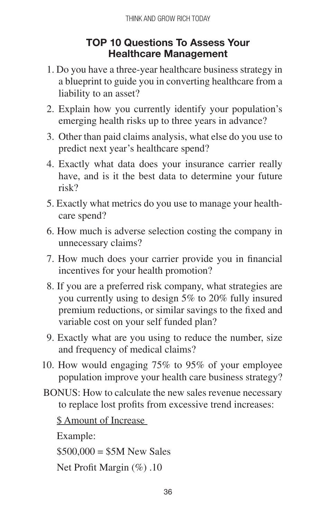#### **TOP 10 Questions To Assess Your Healthcare Management**

- 1. Do you have a three-year healthcare business strategy in a blueprint to guide you in converting healthcare from a liability to an asset?
- 2. Explain how you currently identify your population's emerging health risks up to three years in advance?
- 3. Other than paid claims analysis, what else do you use to predict next year's healthcare spend?
- 4. Exactly what data does your insurance carrier really have, and is it the best data to determine your future risk?
- 5. Exactly what metrics do you use to manage your healthcare spend?
- 6. How much is adverse selection costing the company in unnecessary claims?
- 7. How much does your carrier provide you in financial incentives for your health promotion?
- 8. If you are a preferred risk company, what strategies are you currently using to design 5% to 20% fully insured premium reductions, or similar savings to the fixed and variable cost on your self funded plan?
- 9. Exactly what are you using to reduce the number, size and frequency of medical claims?
- 10. How would engaging 75% to 95% of your employee population improve your health care business strategy?
- BONUS: How to calculate the new sales revenue necessary to replace lost profits from excessive trend increases:

\$ Amount of Increase

Example:

 $$500,000 = $5M$  New Sales

Net Profit Margin (%) .10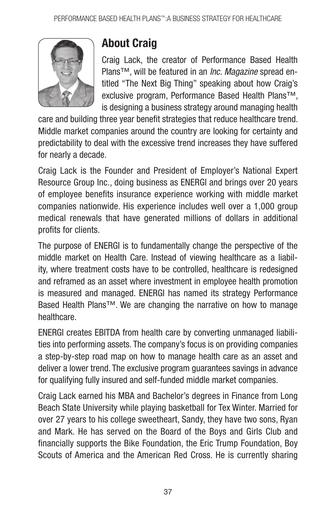

### **About Craig**

Craig Lack, the creator of Performance Based Health Plans™, will be featured in an *Inc. Magazine* spread entitled "The Next Big Thing" speaking about how Craig's exclusive program, Performance Based Health Plans™, is designing a business strategy around managing health

care and building three year benefit strategies that reduce healthcare trend. Middle market companies around the country are looking for certainty and predictability to deal with the excessive trend increases they have suffered for nearly a decade.

Craig Lack is the Founder and President of Employer's National Expert Resource Group Inc., doing business as ENERGI and brings over 20 years of employee benefits insurance experience working with middle market companies nationwide. His experience includes well over a 1,000 group medical renewals that have generated millions of dollars in additional profits for clients.

The purpose of ENERGI is to fundamentally change the perspective of the middle market on Health Care. Instead of viewing healthcare as a liability, where treatment costs have to be controlled, healthcare is redesigned and reframed as an asset where investment in employee health promotion is measured and managed. ENERGI has named its strategy Performance Based Health Plans™. We are changing the narrative on how to manage healthcare.

ENERGI creates EBITDA from health care by converting unmanaged liabilities into performing assets. The company's focus is on providing companies a step-by-step road map on how to manage health care as an asset and deliver a lower trend. The exclusive program guarantees savings in advance for qualifying fully insured and self-funded middle market companies.

Craig Lack earned his MBA and Bachelor's degrees in Finance from Long Beach State University while playing basketball for Tex Winter. Married for over 27 years to his college sweetheart, Sandy, they have two sons, Ryan and Mark. He has served on the Board of the Boys and Girls Club and financially supports the Bike Foundation, the Eric Trump Foundation, Boy Scouts of America and the American Red Cross. He is currently sharing